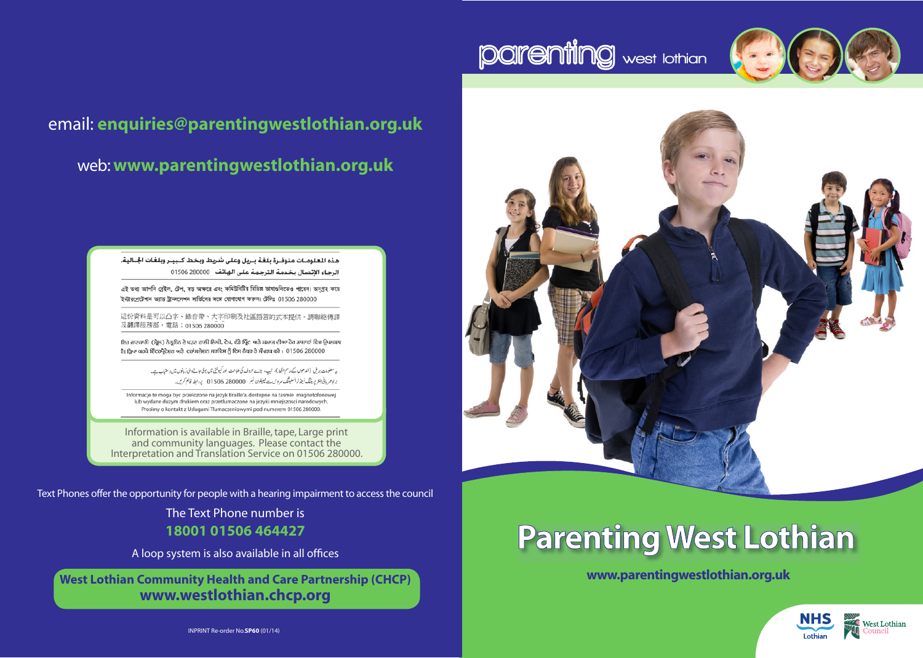



## email: **enquiries@parentingwestlothian.org.uk** web: **www.parentingwestlothian.org.uk**

هذه المعلومـات متوفـرة بلغـة بـريل وعلى شريط وبخط كـبيـر وبلغات الجــاليـة. الرجاء الإتصال بخدمة الترجمة على الهاتف 280000 01506

এই তথ্য আপনি ব্রেইল, টেপ, বড় অক্ষরে এবং কমিউনিটির বিভিন্ন ভাষাগুলিতেও পাবেন। অনুগ্রহ করে ইন্টারপ্রেটেশান আন্ত ট্রান্সলেশন সার্ভিসের সঙ্গে যোগাযোগ করুন। টেলিঃ 01506 280000

這份資料是可以凸字、錄音帶、大字印刷及社區語言的式本提供。請聯絡傳譯 及翻譯服務部,電話: 01506 280000

ਇਹ ਜਾਣਕਾਰੀ (ਬ੍ਰੇਲ) ਨੇਤ੍ਰਹੀਨ ਦੇ ਪੜਣ ਵਾਲੀ ਲਿਪੀ, ਟੇਪ, ਵੱਡੇ ਪ੍ਰਿੰਟ ਅਤੇ ਸਮਾਜ ਦੀਆ ਹੋਰ ਡਾਸ਼ਾਵਾਂ ਵਿਚ ਉਪਲਬਧ ਹੈ। ਕ੍ਰਿਪਾ ਕਰਕੇ ਇੰਟਰਪ੍ਰੈਟੇਸ਼ਨ ਅਤੇ ਟਰਾਂਸਲੇਸ਼ਨ ਸਰਵਿਸ ਨੂੰ ਇਸ ਨੰਬਰ ਤੇ ਸੰਪਰਕ ਕਰੋ : 01506 280000

> پہ معلومات بریل (اندھوں کے رسم الخط)، نہیے، بڑے حروف کی طباعت اور کیوٹی میں بولی جانے والی ڈیانوں میں دستیاب ہے۔ براہ میریانی انٹریریڈنگ اَینڈ ٹرانسلیٹنگ سروس ہے ٹیلیفون نمبر 280000 01506 پر الط قائم کریں۔

Informacje te moga byc przelozone na jezyk Braille'a, dostepne na tasmie magnetofonowej lub wydane duzym drukiem oraz przetlumaczone na jezyki mniejszosci narodowych. Prosimy o kontakt z Uslugami Tlumaczeniowymi pod numerem 01506 280000.

Information is available in Braille, tape, Large print and community languages. Please contact the Interpretation and Translation Service on 01506 280000.

Text Phones offer the opportunity for people with a hearing impairment to access the council

The Text Phone number is **18001 01506 464427**

A loop system is also available in all offices

**West Lothian Community Health and Care Partnership (CHCP) www.westlothian.chcp.org**

# **Parenting West Lothian**

**www.parentingwestlothian.org.uk**